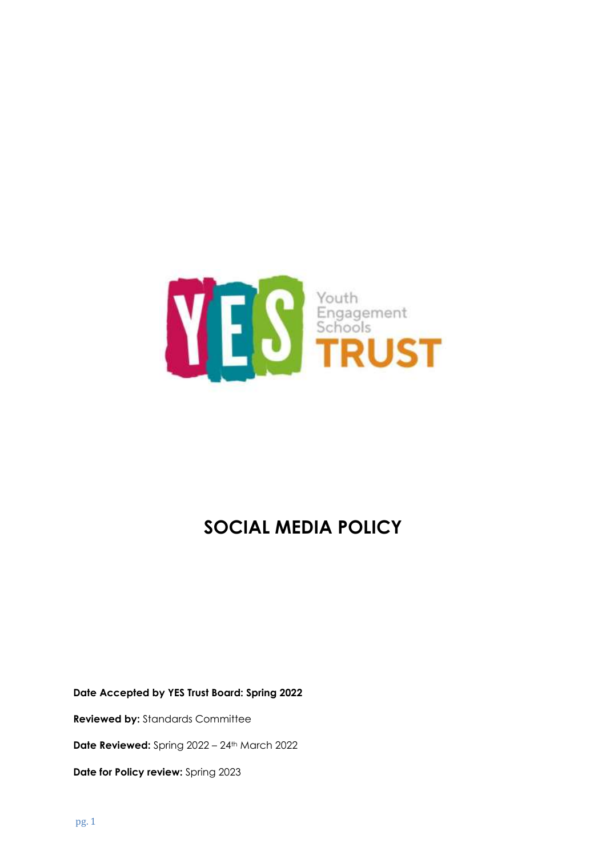

# **SOCIAL MEDIA POLICY**

**Date Accepted by YES Trust Board: Spring 2022**

**Reviewed by:** Standards Committee

**Date Reviewed:** Spring 2022 – 24th March 2022

**Date for Policy review:** Spring 2023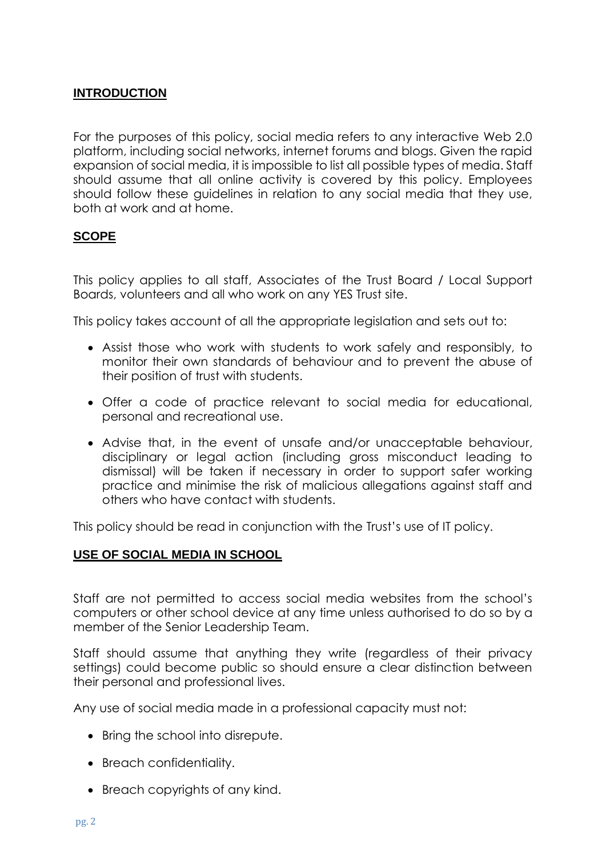# **INTRODUCTION**

For the purposes of this policy, social media refers to any interactive Web 2.0 platform, including social networks, internet forums and blogs. Given the rapid expansion of social media, it is impossible to list all possible types of media. Staff should assume that all online activity is covered by this policy. Employees should follow these guidelines in relation to any social media that they use, both at work and at home.

#### **SCOPE**

This policy applies to all staff, Associates of the Trust Board / Local Support Boards, volunteers and all who work on any YES Trust site.

This policy takes account of all the appropriate legislation and sets out to:

- Assist those who work with students to work safely and responsibly, to monitor their own standards of behaviour and to prevent the abuse of their position of trust with students.
- Offer a code of practice relevant to social media for educational, personal and recreational use.
- Advise that, in the event of unsafe and/or unacceptable behaviour, disciplinary or legal action (including gross misconduct leading to dismissal) will be taken if necessary in order to support safer working practice and minimise the risk of malicious allegations against staff and others who have contact with students.

This policy should be read in conjunction with the Trust's use of IT policy.

#### **USE OF SOCIAL MEDIA IN SCHOOL**

Staff are not permitted to access social media websites from the school's computers or other school device at any time unless authorised to do so by a member of the Senior Leadership Team.

Staff should assume that anything they write (regardless of their privacy settings) could become public so should ensure a clear distinction between their personal and professional lives.

Any use of social media made in a professional capacity must not:

- Bring the school into disrepute.
- Breach confidentiality.
- Breach copyrights of any kind.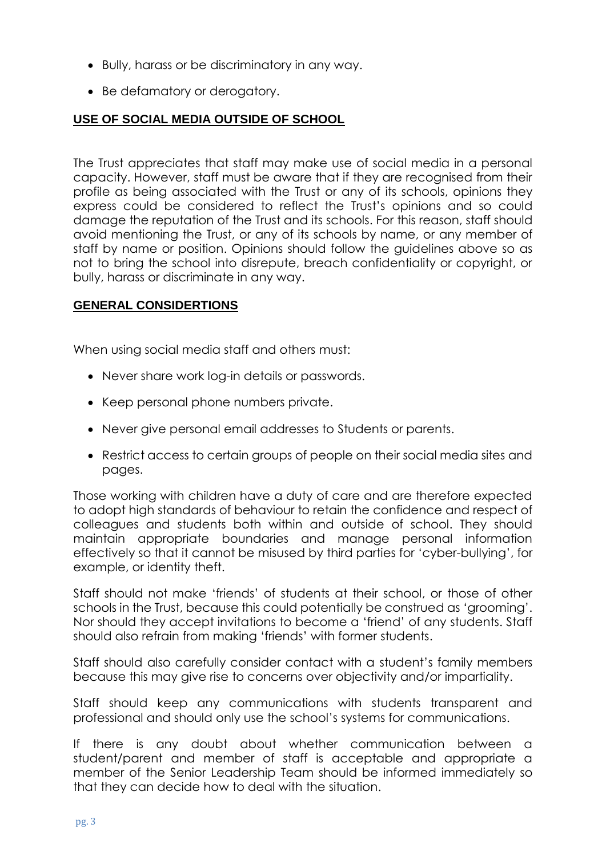- Bully, harass or be discriminatory in any way.
- Be defamatory or derogatory.

# **USE OF SOCIAL MEDIA OUTSIDE OF SCHOOL**

The Trust appreciates that staff may make use of social media in a personal capacity. However, staff must be aware that if they are recognised from their profile as being associated with the Trust or any of its schools, opinions they express could be considered to reflect the Trust's opinions and so could damage the reputation of the Trust and its schools. For this reason, staff should avoid mentioning the Trust, or any of its schools by name, or any member of staff by name or position. Opinions should follow the guidelines above so as not to bring the school into disrepute, breach confidentiality or copyright, or bully, harass or discriminate in any way.

## **GENERAL CONSIDERTIONS**

When using social media staff and others must:

- Never share work log-in details or passwords.
- Keep personal phone numbers private.
- Never give personal email addresses to Students or parents.
- Restrict access to certain groups of people on their social media sites and pages.

Those working with children have a duty of care and are therefore expected to adopt high standards of behaviour to retain the confidence and respect of colleagues and students both within and outside of school. They should maintain appropriate boundaries and manage personal information effectively so that it cannot be misused by third parties for 'cyber-bullying', for example, or identity theft.

Staff should not make 'friends' of students at their school, or those of other schools in the Trust, because this could potentially be construed as 'grooming'. Nor should they accept invitations to become a 'friend' of any students. Staff should also refrain from making 'friends' with former students.

Staff should also carefully consider contact with a student's family members because this may give rise to concerns over objectivity and/or impartiality.

Staff should keep any communications with students transparent and professional and should only use the school's systems for communications.

If there is any doubt about whether communication between a student/parent and member of staff is acceptable and appropriate a member of the Senior Leadership Team should be informed immediately so that they can decide how to deal with the situation.